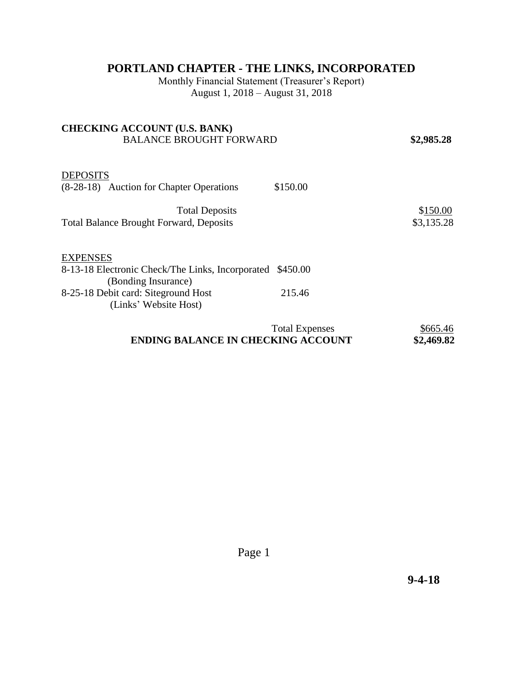## **PORTLAND CHAPTER - THE LINKS, INCORPORATED**

Monthly Financial Statement (Treasurer's Report) August 1, 2018 – August 31, 2018

| <b>CHECKING ACCOUNT (U.S. BANK)</b>                       |                       |            |
|-----------------------------------------------------------|-----------------------|------------|
| <b>BALANCE BROUGHT FORWARD</b>                            |                       | \$2,985.28 |
|                                                           |                       |            |
| <b>DEPOSITS</b>                                           |                       |            |
| (8-28-18) Auction for Chapter Operations                  | \$150.00              |            |
| <b>Total Deposits</b>                                     |                       | \$150.00   |
| <b>Total Balance Brought Forward, Deposits</b>            |                       | \$3,135.28 |
| <b>EXPENSES</b>                                           |                       |            |
| 8-13-18 Electronic Check/The Links, Incorporated \$450.00 |                       |            |
| (Bonding Insurance)                                       |                       |            |
| 8-25-18 Debit card: Site ground Host                      | 215.46                |            |
| (Links' Website Host)                                     |                       |            |
|                                                           | <b>Total Expenses</b> | \$665.46   |

## **ENDING BALANCE IN CHECKING ACCOUNT \$2,469.82**